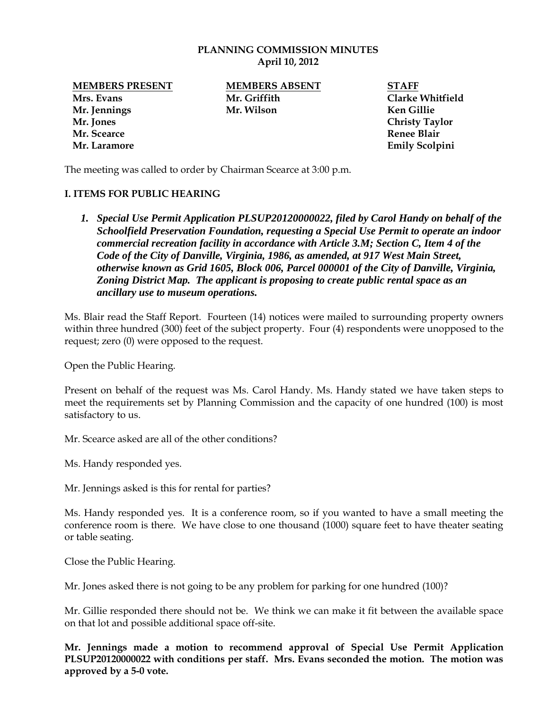### **PLANNING COMMISSION MINUTES April 10, 2012**

**Mrs. Evans Mr. Griffith Clarke Whitfield Mr. Jennings Mr. Wilson Ken Gillie Mr. Jones Christy Taylor Mr. Scearce Renee Blair**

**MEMBERS PRESENT MEMBERS ABSENT STAFF**

**Mr. Laramore Emily Scolpini** 

The meeting was called to order by Chairman Scearce at 3:00 p.m.

# **I. ITEMS FOR PUBLIC HEARING**

*1. Special Use Permit Application PLSUP20120000022, filed by Carol Handy on behalf of the Schoolfield Preservation Foundation, requesting a Special Use Permit to operate an indoor commercial recreation facility in accordance with Article 3.M; Section C, Item 4 of the Code of the City of Danville, Virginia, 1986, as amended, at 917 West Main Street, otherwise known as Grid 1605, Block 006, Parcel 000001 of the City of Danville, Virginia, Zoning District Map. The applicant is proposing to create public rental space as an ancillary use to museum operations.* 

Ms. Blair read the Staff Report. Fourteen (14) notices were mailed to surrounding property owners within three hundred (300) feet of the subject property. Four (4) respondents were unopposed to the request; zero (0) were opposed to the request.

Open the Public Hearing.

Present on behalf of the request was Ms. Carol Handy. Ms. Handy stated we have taken steps to meet the requirements set by Planning Commission and the capacity of one hundred (100) is most satisfactory to us.

Mr. Scearce asked are all of the other conditions?

Ms. Handy responded yes.

Mr. Jennings asked is this for rental for parties?

Ms. Handy responded yes. It is a conference room, so if you wanted to have a small meeting the conference room is there. We have close to one thousand (1000) square feet to have theater seating or table seating.

Close the Public Hearing.

Mr. Jones asked there is not going to be any problem for parking for one hundred (100)?

Mr. Gillie responded there should not be. We think we can make it fit between the available space on that lot and possible additional space off-site.

**Mr. Jennings made a motion to recommend approval of Special Use Permit Application PLSUP20120000022 with conditions per staff. Mrs. Evans seconded the motion. The motion was approved by a 5-0 vote.**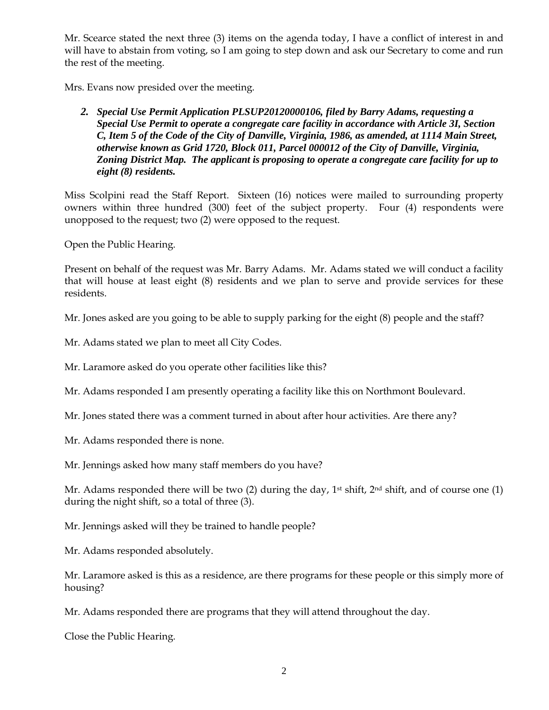Mr. Scearce stated the next three (3) items on the agenda today, I have a conflict of interest in and will have to abstain from voting, so I am going to step down and ask our Secretary to come and run the rest of the meeting.

Mrs. Evans now presided over the meeting.

# *2. Special Use Permit Application PLSUP20120000106, filed by Barry Adams, requesting a Special Use Permit to operate a congregate care facility in accordance with Article 3I, Section C, Item 5 of the Code of the City of Danville, Virginia, 1986, as amended, at 1114 Main Street, otherwise known as Grid 1720, Block 011, Parcel 000012 of the City of Danville, Virginia, Zoning District Map. The applicant is proposing to operate a congregate care facility for up to eight (8) residents.*

Miss Scolpini read the Staff Report. Sixteen (16) notices were mailed to surrounding property owners within three hundred (300) feet of the subject property. Four (4) respondents were unopposed to the request; two (2) were opposed to the request.

Open the Public Hearing.

Present on behalf of the request was Mr. Barry Adams. Mr. Adams stated we will conduct a facility that will house at least eight (8) residents and we plan to serve and provide services for these residents.

Mr. Jones asked are you going to be able to supply parking for the eight (8) people and the staff?

Mr. Adams stated we plan to meet all City Codes.

Mr. Laramore asked do you operate other facilities like this?

Mr. Adams responded I am presently operating a facility like this on Northmont Boulevard.

Mr. Jones stated there was a comment turned in about after hour activities. Are there any?

Mr. Adams responded there is none.

Mr. Jennings asked how many staff members do you have?

Mr. Adams responded there will be two (2) during the day,  $1<sup>st</sup>$  shift,  $2<sup>nd</sup>$  shift, and of course one (1) during the night shift, so a total of three (3).

Mr. Jennings asked will they be trained to handle people?

Mr. Adams responded absolutely.

Mr. Laramore asked is this as a residence, are there programs for these people or this simply more of housing?

Mr. Adams responded there are programs that they will attend throughout the day.

Close the Public Hearing.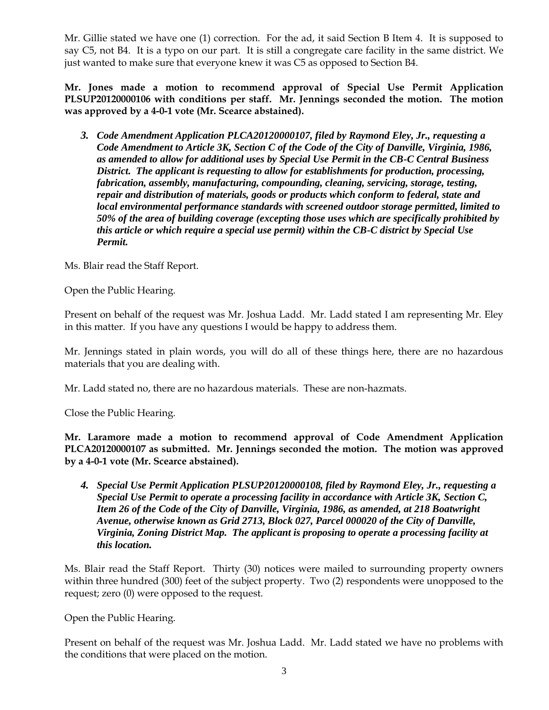Mr. Gillie stated we have one (1) correction. For the ad, it said Section B Item 4. It is supposed to say C5, not B4. It is a typo on our part. It is still a congregate care facility in the same district. We just wanted to make sure that everyone knew it was C5 as opposed to Section B4.

**Mr. Jones made a motion to recommend approval of Special Use Permit Application PLSUP20120000106 with conditions per staff. Mr. Jennings seconded the motion. The motion was approved by a 4-0-1 vote (Mr. Scearce abstained).** 

*3. Code Amendment Application PLCA20120000107, filed by Raymond Eley, Jr., requesting a Code Amendment to Article 3K, Section C of the Code of the City of Danville, Virginia, 1986, as amended to allow for additional uses by Special Use Permit in the CB-C Central Business District. The applicant is requesting to allow for establishments for production, processing, fabrication, assembly, manufacturing, compounding, cleaning, servicing, storage, testing, repair and distribution of materials, goods or products which conform to federal, state and local environmental performance standards with screened outdoor storage permitted, limited to 50% of the area of building coverage (excepting those uses which are specifically prohibited by this article or which require a special use permit) within the CB-C district by Special Use Permit.*

Ms. Blair read the Staff Report.

Open the Public Hearing.

Present on behalf of the request was Mr. Joshua Ladd. Mr. Ladd stated I am representing Mr. Eley in this matter. If you have any questions I would be happy to address them.

Mr. Jennings stated in plain words, you will do all of these things here, there are no hazardous materials that you are dealing with.

Mr. Ladd stated no, there are no hazardous materials. These are non-hazmats.

Close the Public Hearing.

**Mr. Laramore made a motion to recommend approval of Code Amendment Application PLCA20120000107 as submitted. Mr. Jennings seconded the motion. The motion was approved by a 4-0-1 vote (Mr. Scearce abstained).**

*4. Special Use Permit Application PLSUP20120000108, filed by Raymond Eley, Jr., requesting a Special Use Permit to operate a processing facility in accordance with Article 3K, Section C, Item 26 of the Code of the City of Danville, Virginia, 1986, as amended, at 218 Boatwright Avenue, otherwise known as Grid 2713, Block 027, Parcel 000020 of the City of Danville, Virginia, Zoning District Map. The applicant is proposing to operate a processing facility at this location.* 

Ms. Blair read the Staff Report. Thirty (30) notices were mailed to surrounding property owners within three hundred (300) feet of the subject property. Two (2) respondents were unopposed to the request; zero (0) were opposed to the request.

Open the Public Hearing.

Present on behalf of the request was Mr. Joshua Ladd. Mr. Ladd stated we have no problems with the conditions that were placed on the motion.